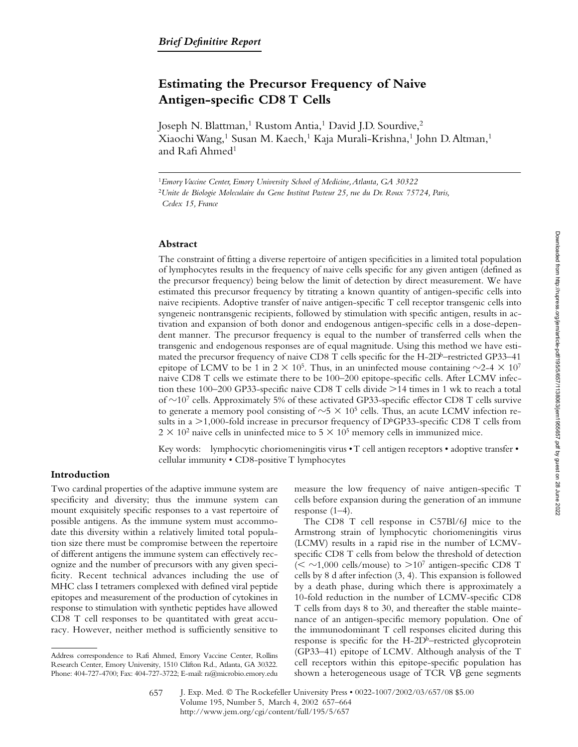# **Estimating the Precursor Frequency of Naive Antigen-specific CD8 T Cells**

Joseph N. Blattman,<sup>1</sup> Rustom Antia,<sup>1</sup> David J.D. Sourdive,<sup>2</sup> Xiaochi Wang,<sup>1</sup> Susan M. Kaech,<sup>1</sup> Kaja Murali-Krishna,<sup>1</sup> John D. Altman,<sup>1</sup> and Rafi Ahmed<sup>1</sup>

<sup>1</sup>*Emory Vaccine Center, Emory University School of Medicine, Atlanta, GA 30322* <sup>2</sup>*Unite de Biologie Moleculaire du Gene Institut Pasteur 25, rue du Dr. Roux 75724, Paris, Cedex 15, France*

# **Abstract**

The constraint of fitting a diverse repertoire of antigen specificities in a limited total population of lymphocytes results in the frequency of naive cells specific for any given antigen (defined as the precursor frequency) being below the limit of detection by direct measurement. We have estimated this precursor frequency by titrating a known quantity of antigen-specific cells into naive recipients. Adoptive transfer of naive antigen-specific T cell receptor transgenic cells into syngeneic nontransgenic recipients, followed by stimulation with specific antigen, results in activation and expansion of both donor and endogenous antigen-specific cells in a dose-dependent manner. The precursor frequency is equal to the number of transferred cells when the transgenic and endogenous responses are of equal magnitude. Using this method we have estimated the precursor frequency of naive CD8 T cells specific for the H-2Db–restricted GP33–41 epitope of LCMV to be 1 in  $2 \times 10^5$ . Thus, in an uninfected mouse containing  $\sim$ 2-4  $\times$  10<sup>7</sup> naive CD8 T cells we estimate there to be 100–200 epitope-specific cells. After LCMV infection these  $100-200$  GP33-specific naive CD8 T cells divide  $>14$  times in 1 wk to reach a total of  $\sim$ 10<sup>7</sup> cells. Approximately 5% of these activated GP33-specific effector CD8 T cells survive to generate a memory pool consisting of  $\sim$ 5  $\times$  10<sup>5</sup> cells. Thus, an acute LCMV infection results in a  $\geq 1,000$ -fold increase in precursor frequency of D<sup>b</sup>GP33-specific CD8 T cells from  $2 \times 10^2$  naive cells in uninfected mice to  $5 \times 10^5$  memory cells in immunized mice.

Key words: lymphocytic choriomeningitis virus • T cell antigen receptors • adoptive transfer • cellular immunity • CD8-positive T lymphocytes

## **Introduction**

Two cardinal properties of the adaptive immune system are specificity and diversity; thus the immune system can mount exquisitely specific responses to a vast repertoire of possible antigens. As the immune system must accommodate this diversity within a relatively limited total population size there must be compromise between the repertoire of different antigens the immune system can effectively recognize and the number of precursors with any given specificity. Recent technical advances including the use of MHC class I tetramers complexed with defined viral peptide epitopes and measurement of the production of cytokines in response to stimulation with synthetic peptides have allowed CD8 T cell responses to be quantitated with great accuracy. However, neither method is sufficiently sensitive to

measure the low frequency of naive antigen-specific T cells before expansion during the generation of an immune response (1–4).

The CD8 T cell response in C57Bl/6J mice to the Armstrong strain of lymphocytic choriomeningitis virus (LCMV) results in a rapid rise in the number of LCMVspecific CD8 T cells from below the threshold of detection  $(<$  ~1,000 cells/mouse) to >10<sup>7</sup> antigen-specific CD8 T cells by 8 d after infection (3, 4). This expansion is followed by a death phase, during which there is approximately a 10-fold reduction in the number of LCMV-specific CD8 T cells from days 8 to 30, and thereafter the stable maintenance of an antigen-specific memory population. One of the immunodominant T cell responses elicited during this response is specific for the  $H$ -2D<sup>b</sup>–restricted glycoprotein (GP33–41) epitope of LCMV. Although analysis of the T cell receptors within this epitope-specific population has shown a heterogeneous usage of TCR  $V\beta$  gene segments

Address correspondence to Rafi Ahmed, Emory Vaccine Center, Rollins Research Center, Emory University, 1510 Clifton Rd., Atlanta, GA 30322. Phone: 404-727-4700; Fax: 404-727-3722; E-mail: ra@microbio.emory.edu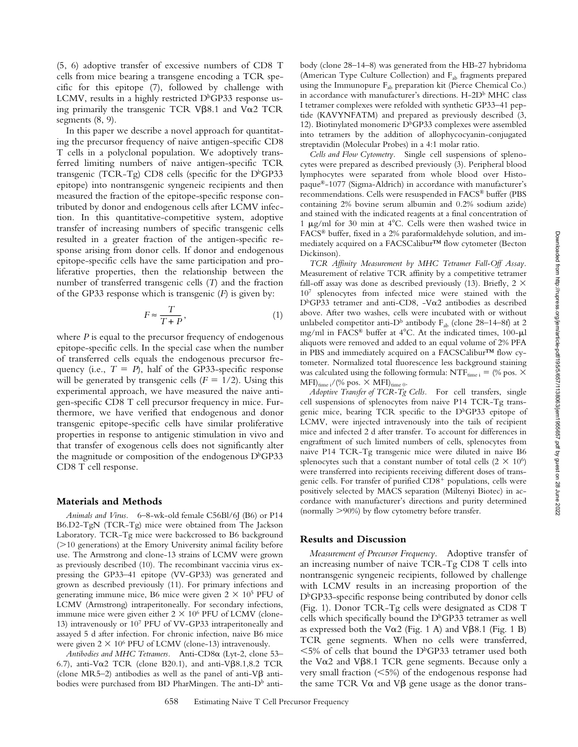(5, 6) adoptive transfer of excessive numbers of CD8 T cells from mice bearing a transgene encoding a TCR specific for this epitope (7), followed by challenge with LCMV, results in a highly restricted  $D<sup>b</sup>GP33$  response using primarily the transgenic TCR V $\beta$ 8.1 and V $\alpha$ 2 TCR segments (8, 9).

In this paper we describe a novel approach for quantitating the precursor frequency of naive antigen-specific CD8 T cells in a polyclonal population. We adoptively transferred limiting numbers of naive antigen-specific TCR transgenic (TCR-Tg) CD8 cells (specific for the  $D<sup>b</sup>GP33$ epitope) into nontransgenic syngeneic recipients and then measured the fraction of the epitope-specific response contributed by donor and endogenous cells after LCMV infection. In this quantitative-competitive system, adoptive transfer of increasing numbers of specific transgenic cells resulted in a greater fraction of the antigen-specific response arising from donor cells. If donor and endogenous epitope-specific cells have the same participation and proliferative properties, then the relationship between the number of transferred transgenic cells (*T*) and the fraction of the GP33 response which is transgenic (*F*) is given by:

$$
F \approx \frac{T}{T+P},\tag{1}
$$

where *P* is equal to the precursor frequency of endogenous epitope-specific cells. In the special case when the number of transferred cells equals the endogenous precursor frequency (i.e.,  $T = P$ ), half of the GP33-specific response will be generated by transgenic cells  $(F = 1/2)$ . Using this experimental approach, we have measured the naive antigen-specific CD8 T cell precursor frequency in mice. Furthermore, we have verified that endogenous and donor transgenic epitope-specific cells have similar proliferative properties in response to antigenic stimulation in vivo and that transfer of exogenous cells does not significantly alter the magnitude or composition of the endogenous  $D<sup>b</sup>GP33$ CD8 T cell response.

#### **Materials and Methods**

*Animals and Virus.* 6–8-wk-old female C56Bl/6J (B6) or P14 B6.D2-TgN (TCR-Tg) mice were obtained from The Jackson Laboratory. TCR-Tg mice were backcrossed to B6 background  $(>10$  generations) at the Emory University animal facility before use. The Armstrong and clone-13 strains of LCMV were grown as previously described (10). The recombinant vaccinia virus expressing the GP33–41 epitope (VV-GP33) was generated and grown as described previously (11). For primary infections and generating immune mice, B6 mice were given  $2 \times 10^5$  PFU of LCMV (Armstrong) intraperitoneally. For secondary infections, immune mice were given either  $2 \times 10^6$  PFU of LCMV (clone-13) intravenously or 107 PFU of VV-GP33 intraperitoneally and assayed 5 d after infection. For chronic infection, naive B6 mice were given  $2 \times 10^6$  PFU of LCMV (clone-13) intravenously.

*Antibodies and MHC Tetramers.* Anti-CD8α (Lyt-2, clone 53– 6.7), anti-V $\alpha$ 2 TCR (clone B20.1), and anti-V $\beta$ 8.1,8.2 TCR (clone MR5–2) antibodies as well as the panel of anti-V $\beta$  antibodies were purchased from BD PharMingen. The anti- $D<sup>b</sup>$  antibody (clone 28–14–8) was generated from the HB-27 hybridoma (American Type Culture Collection) and F<sub>ab</sub> fragments prepared using the Immunopure F<sub>ab</sub> preparation kit (Pierce Chemical Co.) in accordance with manufacturer's directions. H-2D<sup>b</sup> MHC class I tetramer complexes were refolded with synthetic GP33–41 peptide (KAVYNFATM) and prepared as previously described (3, 12). Biotinylated monomeric  $D<sup>b</sup>GP33$  complexes were assembled into tetramers by the addition of allophycocyanin-conjugated streptavidin (Molecular Probes) in a 4:1 molar ratio.

*Cells and Flow Cytometry.* Single cell suspensions of splenocytes were prepared as described previously (3). Peripheral blood lymphocytes were separated from whole blood over Histopaque®-1077 (Sigma-Aldrich) in accordance with manufacturer's recommendations. Cells were resuspended in FACS® buffer (PBS containing 2% bovine serum albumin and 0.2% sodium azide) and stained with the indicated reagents at a final concentration of 1  $\mu$ g/ml for 30 min at 4°C. Cells were then washed twice in FACS® buffer, fixed in a 2% paraformaldehyde solution, and immediately acquired on a FACSCalibur™ flow cytometer (Becton Dickinson).

*TCR Affinity Measurement by MHC Tetramer Fall-Off Assay.* Measurement of relative TCR affinity by a competitive tetramer fall-off assay was done as described previously (13). Briefly, 2  $\times$ 107 splenocytes from infected mice were stained with the  $D<sup>b</sup>GP33$  tetramer and anti-CD8, -V $\alpha$ 2 antibodies as described above. After two washes, cells were incubated with or without unlabeled competitor anti-D<sup>b</sup> antibody  $F_{ab}$  (clone 28–14–8f) at 2 mg/ml in FACS® buffer at  $4^{\circ}$ C. At the indicated times, 100- $\mu$ l aliquots were removed and added to an equal volume of 2% PFA in PBS and immediately acquired on a FACSCalibur™ flow cytometer. Normalized total fluorescence less background staining was calculated using the following formula:  $\text{NTF}_{\text{time i}} = % \times \text{NTF}_{\text{time i}}$  $\text{MFI}\right)_{\text{time i}} / (\% \text{ pos.} \times \text{MFI})_{\text{time 0}}.$ 

*Adoptive Transfer of TCR-Tg Cells.* For cell transfers, single cell suspensions of splenocytes from naive P14 TCR-Tg transgenic mice, bearing TCR specific to the D<sup>b</sup>GP33 epitope of LCMV, were injected intravenously into the tails of recipient mice and infected 2 d after transfer. To account for differences in engraftment of such limited numbers of cells, splenocytes from naive P14 TCR-Tg transgenic mice were diluted in naive B6 splenocytes such that a constant number of total cells (2  $\times$  10<sup>6</sup>) were transferred into recipients receiving different doses of transgenic cells. For transfer of purified CD8<sup>+</sup> populations, cells were positively selected by MACS separation (Miltenyi Biotec) in accordance with manufacturer's directions and purity determined (normally 90%) by flow cytometry before transfer.

### **Results and Discussion**

*Measurement of Precursor Frequency.* Adoptive transfer of an increasing number of naive TCR-Tg CD8 T cells into nontransgenic syngeneic recipients, followed by challenge with LCMV results in an increasing proportion of the D<sup>b</sup>GP33-specific response being contributed by donor cells (Fig. 1). Donor TCR-Tg cells were designated as CD8 T cells which specifically bound the  $D<sup>b</sup>GP33$  tetramer as well as expressed both the V $\alpha$ 2 (Fig. 1 A) and V $\beta$ 8.1 (Fig. 1 B) TCR gene segments. When no cells were transferred,  $5\%$  of cells that bound the D<sup>b</sup>GP33 tetramer used both the V $\alpha$ 2 and V $\beta$ 8.1 TCR gene segments. Because only a very small fraction  $(<5\%)$  of the endogenous response had the same TCR V $\alpha$  and V $\beta$  gene usage as the donor trans-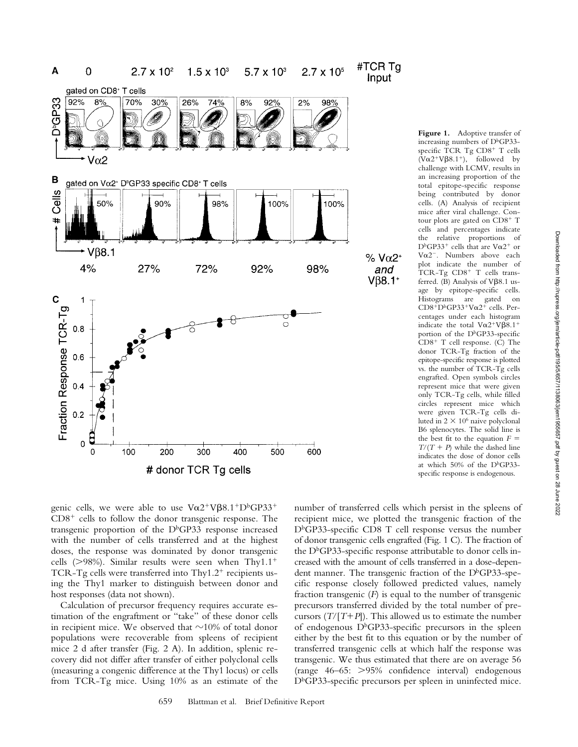

Figure 1. Adoptive transfer of increasing numbers of D<sup>b</sup>GP33specific TCR Tg CD8<sup>+</sup> T cells  $(V\alpha 2^+V\beta 8.1^+),$  followed by challenge with LCMV, results in an increasing proportion of the total epitope-specific response being contributed by donor cells. (A) Analysis of recipient mice after viral challenge. Contour plots are gated on CD8<sup>+</sup> T cells and percentages indicate the relative proportions of  $D<sup>b</sup>GP33<sup>+</sup>$  cells that are  $V\alpha2<sup>+</sup>$  or Voc2<sup>-</sup>. Numbers above each plot indicate the number of TCR-Tg CD8<sup>+</sup> T cells transferred. (B) Analysis of  $V\beta8.1$  usage by epitope-specific cells. Histograms are gated on CD8<sup>+</sup>D<sup>b</sup>GP33<sup>+</sup>Vα2<sup>+</sup> cells. Percentages under each histogram indicate the total  $V\alpha2^+V\beta8.1^+$ portion of the D<sup>b</sup>GP33-specific CD8 T cell response. (C) The donor TCR-Tg fraction of the epitope-specific response is plotted vs. the number of TCR-Tg cells engrafted. Open symbols circles represent mice that were given only TCR-Tg cells, while filled circles represent mice which were given TCR-Tg cells diluted in  $2 \times 10^6$  naive polyclonal B6 splenocytes. The solid line is the best fit to the equation  $F =$  $T/(T + P)$  while the dashed line indicates the dose of donor cells at which 50% of the D<sup>b</sup>GP33specific response is endogenous.

genic cells, we were able to use  $V\alpha2^+V\beta8.1^+D^bGP33^+$  $CD8<sup>+</sup>$  cells to follow the donor transgenic response. The transgenic proportion of the D<sup>b</sup>GP33 response increased with the number of cells transferred and at the highest doses, the response was dominated by donor transgenic cells ( $>98%$ ). Similar results were seen when Thy1.1<sup>+</sup> TCR-Tg cells were transferred into Thy1.2<sup>+</sup> recipients using the Thy1 marker to distinguish between donor and host responses (data not shown).

Calculation of precursor frequency requires accurate estimation of the engraftment or "take" of these donor cells in recipient mice. We observed that  $\sim$ 10% of total donor populations were recoverable from spleens of recipient mice 2 d after transfer (Fig. 2 A). In addition, splenic recovery did not differ after transfer of either polyclonal cells (measuring a congenic difference at the Thy1 locus) or cells from TCR-Tg mice. Using 10% as an estimate of the

number of transferred cells which persist in the spleens of recipient mice, we plotted the transgenic fraction of the DbGP33-specific CD8 T cell response versus the number of donor transgenic cells engrafted (Fig. 1 C). The fraction of the  $D<sup>b</sup>GP33$ -specific response attributable to donor cells increased with the amount of cells transferred in a dose-dependent manner. The transgenic fraction of the  $D<sup>b</sup>GP33$ -specific response closely followed predicted values, namely fraction transgenic (*F*) is equal to the number of transgenic precursors transferred divided by the total number of precursors  $(T/[T+P])$ . This allowed us to estimate the number of endogenous  $D<sup>b</sup>GP33$ -specific precursors in the spleen either by the best fit to this equation or by the number of transferred transgenic cells at which half the response was transgenic. We thus estimated that there are on average 56 (range 46–65: 95% confidence interval) endogenous D<sup>b</sup>GP33-specific precursors per spleen in uninfected mice.

Input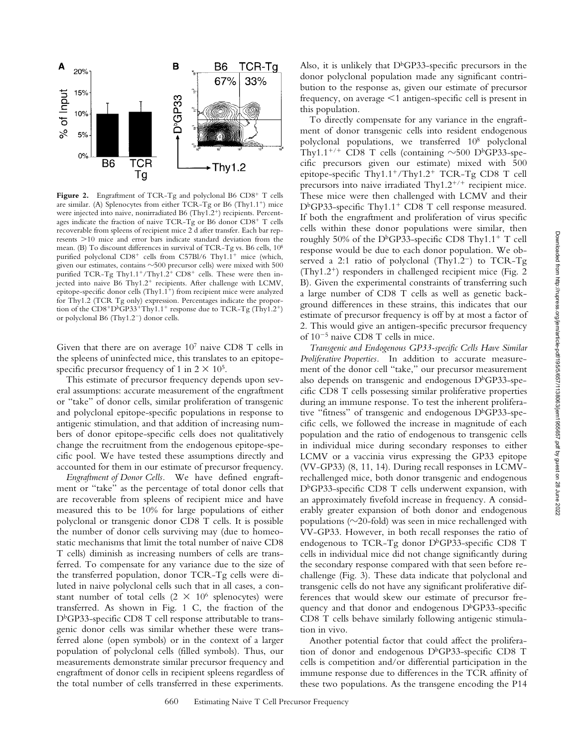

Figure 2. Engraftment of TCR-Tg and polyclonal B6 CD8<sup>+</sup> T cells are similar. (A) Splenocytes from either TCR-Tg or B6 (Thy1.1 ) mice were injected into naive, nonirradiated B6 (Thy1.2 ) recipients. Percentages indicate the fraction of naive TCR-Tg or B6 donor CD8+ T cells recoverable from spleens of recipient mice 2 d after transfer. Each bar represents  $>$ 10 mice and error bars indicate standard deviation from the mean. (B) To discount differences in survival of TCR-Tg vs. B6 cells, 108 purified polyclonal CD8<sup>+</sup> cells from C57Bl/6 Thy1.1<sup>+</sup> mice (which, given our estimates, contains  $\sim$ 500 precursor cells) were mixed with 500 purified TCR-Tg Thy1.1<sup>+</sup>/Thy1.2<sup>+</sup> CD8<sup>+</sup> cells. These were then injected into naive B6 Thy1.2<sup>+</sup> recipients. After challenge with LCMV, epitope-specific donor cells (Thy1.1 ) from recipient mice were analyzed for Thy1.2 (TCR Tg only) expression. Percentages indicate the proportion of the  $CD8^+D^bGP33^+Thy1.1^+$  response due to TCR-Tg (Thy1.2<sup>+</sup>) or polyclonal B6 (Thy1.2<sup>-</sup>) donor cells.

Given that there are on average  $10^7$  naive CD8 T cells in the spleens of uninfected mice, this translates to an epitopespecific precursor frequency of 1 in  $2 \times 10^5$ .

This estimate of precursor frequency depends upon several assumptions: accurate measurement of the engraftment or "take" of donor cells, similar proliferation of transgenic and polyclonal epitope-specific populations in response to antigenic stimulation, and that addition of increasing numbers of donor epitope-specific cells does not qualitatively change the recruitment from the endogenous epitope-specific pool. We have tested these assumptions directly and accounted for them in our estimate of precursor frequency.

*Engraftment of Donor Cells.* We have defined engraftment or "take" as the percentage of total donor cells that are recoverable from spleens of recipient mice and have measured this to be 10% for large populations of either polyclonal or transgenic donor CD8 T cells. It is possible the number of donor cells surviving may (due to homeostatic mechanisms that limit the total number of naive CD8 T cells) diminish as increasing numbers of cells are transferred. To compensate for any variance due to the size of the transferred population, donor TCR-Tg cells were diluted in naive polyclonal cells such that in all cases, a constant number of total cells  $(2 \times 10^6 \text{ splencytes})$  were transferred. As shown in Fig. 1 C, the fraction of the  $D<sup>b</sup>GP33$ -specific CD8 T cell response attributable to transgenic donor cells was similar whether these were transferred alone (open symbols) or in the context of a larger population of polyclonal cells (filled symbols). Thus, our measurements demonstrate similar precursor frequency and engraftment of donor cells in recipient spleens regardless of the total number of cells transferred in these experiments.

Also, it is unlikely that  $D<sup>b</sup>GP33$ -specific precursors in the donor polyclonal population made any significant contribution to the response as, given our estimate of precursor frequency, on average  $\leq 1$  antigen-specific cell is present in this population.

To directly compensate for any variance in the engraftment of donor transgenic cells into resident endogenous polyclonal populations, we transferred 108 polyclonal Thy1.1<sup>+/+</sup> CD8 T cells (containing  $\sim$ 500 D<sup>b</sup>GP33-specific precursors given our estimate) mixed with 500 epitope-specific Thy1.1<sup>+</sup>/Thy1.2<sup>+</sup> TCR-Tg CD8 T cell precursors into naive irradiated Thy $1.2^{+/+}$  recipient mice. These mice were then challenged with LCMV and their D<sup>b</sup>GP33-specific Thy1.1<sup>+</sup> CD8 T cell response measured. If both the engraftment and proliferation of virus specific cells within these donor populations were similar, then roughly 50% of the D<sup>b</sup>GP33-specific CD8 Thy1.1<sup>+</sup> T cell response would be due to each donor population. We observed a 2:1 ratio of polyclonal (Thy1.2<sup>-</sup>) to TCR-Tg (Thy1.2 ) responders in challenged recipient mice (Fig. 2 B). Given the experimental constraints of transferring such a large number of CD8 T cells as well as genetic background differences in these strains, this indicates that our estimate of precursor frequency is off by at most a factor of 2. This would give an antigen-specific precursor frequency of  $10^{-5}$  naive CD8 T cells in mice.

*Transgenic and Endogenous GP33-specific Cells Have Similar Proliferative Properties.* In addition to accurate measurement of the donor cell "take," our precursor measurement also depends on transgenic and endogenous  $D<sup>b</sup>GP33$ -specific CD8 T cells possessing similar proliferative properties during an immune response. To test the inherent proliferative "fitness" of transgenic and endogenous  $D<sup>b</sup>GP33$ -specific cells, we followed the increase in magnitude of each population and the ratio of endogenous to transgenic cells in individual mice during secondary responses to either LCMV or a vaccinia virus expressing the GP33 epitope (VV-GP33) (8, 11, 14). During recall responses in LCMVrechallenged mice, both donor transgenic and endogenous DbGP33-specific CD8 T cells underwent expansion, with an approximately fivefold increase in frequency. A considerably greater expansion of both donor and endogenous populations ( $\sim$ 20-fold) was seen in mice rechallenged with VV-GP33. However, in both recall responses the ratio of endogenous to TCR-Tg donor  $D<sup>b</sup>GP33$ -specific CD8 T cells in individual mice did not change significantly during the secondary response compared with that seen before rechallenge (Fig. 3). These data indicate that polyclonal and transgenic cells do not have any significant proliferative differences that would skew our estimate of precursor frequency and that donor and endogenous  $D<sup>b</sup>GP33$ -specific CD8 T cells behave similarly following antigenic stimulation in vivo.

Another potential factor that could affect the proliferation of donor and endogenous  $D<sup>b</sup>GP33$ -specific CD8 T cells is competition and/or differential participation in the immune response due to differences in the TCR affinity of these two populations. As the transgene encoding the P14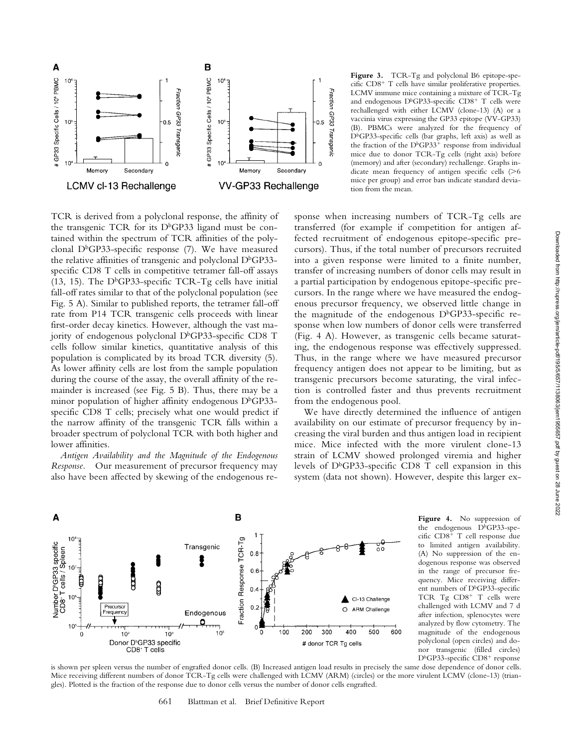

**Figure 3.** TCR-Tg and polyclonal B6 epitope-specific CD8 T cells have similar proliferative properties. LCMV immune mice containing a mixture of TCR-Tg and endogenous D<sup>b</sup>GP33-specific CD8<sup>+</sup> T cells were rechallenged with either LCMV (clone-13) (A) or a vaccinia virus expressing the GP33 epitope (VV-GP33) (B). PBMCs were analyzed for the frequency of DbGP33-specific cells (bar graphs, left axis) as well as the fraction of the D<sup>b</sup>GP33<sup>+</sup> response from individual mice due to donor TCR-Tg cells (right axis) before (memory) and after (secondary) rechallenge. Graphs indicate mean frequency of antigen specific cells  $($ >6) mice per group) and error bars indicate standard deviation from the mean.

TCR is derived from a polyclonal response, the affinity of the transgenic TCR for its  $D<sup>b</sup>GP33$  ligand must be contained within the spectrum of TCR affinities of the polyclonal D<sup>b</sup>GP33-specific response (7). We have measured the relative affinities of transgenic and polyclonal  $D<sup>b</sup>GP33$ specific CD8 T cells in competitive tetramer fall-off assays (13, 15). The D<sup>b</sup>GP33-specific TCR-Tg cells have initial fall-off rates similar to that of the polyclonal population (see Fig. 5 A). Similar to published reports, the tetramer fall-off rate from P14 TCR transgenic cells proceeds with linear first-order decay kinetics. However, although the vast majority of endogenous polyclonal D<sup>b</sup>GP33-specific CD8 T cells follow similar kinetics, quantitative analysis of this population is complicated by its broad TCR diversity (5). As lower affinity cells are lost from the sample population during the course of the assay, the overall affinity of the remainder is increased (see Fig. 5 B). Thus, there may be a minor population of higher affinity endogenous  $D<sup>b</sup>GP33$ specific CD8 T cells; precisely what one would predict if the narrow affinity of the transgenic TCR falls within a broader spectrum of polyclonal TCR with both higher and lower affinities.

*Antigen Availability and the Magnitude of the Endogenous Response.* Our measurement of precursor frequency may also have been affected by skewing of the endogenous response when increasing numbers of TCR-Tg cells are transferred (for example if competition for antigen affected recruitment of endogenous epitope-specific precursors). Thus, if the total number of precursors recruited into a given response were limited to a finite number, transfer of increasing numbers of donor cells may result in a partial participation by endogenous epitope-specific precursors. In the range where we have measured the endogenous precursor frequency, we observed little change in the magnitude of the endogenous  $D<sup>b</sup>GP33$ -specific response when low numbers of donor cells were transferred (Fig. 4 A). However, as transgenic cells became saturating, the endogenous response was effectively suppressed. Thus, in the range where we have measured precursor frequency antigen does not appear to be limiting, but as transgenic precursors become saturating, the viral infection is controlled faster and thus prevents recruitment from the endogenous pool.

We have directly determined the influence of antigen availability on our estimate of precursor frequency by increasing the viral burden and thus antigen load in recipient mice. Mice infected with the more virulent clone-13 strain of LCMV showed prolonged viremia and higher levels of DbGP33-specific CD8 T cell expansion in this system (data not shown). However, despite this larger ex-



**Figure 4.** No suppression of the endogenous DbGP33-specific CD8<sup>+</sup> T cell response due to limited antigen availability. (A) No suppression of the endogenous response was observed in the range of precursor frequency. Mice receiving different numbers of D<sup>b</sup>GP33-specific TCR Tg CD8<sup>+</sup> T cells were challenged with LCMV and 7 d after infection, splenocytes were analyzed by flow cytometry. The magnitude of the endogenous polyclonal (open circles) and donor transgenic (filled circles) D<sup>b</sup>GP33-specific CD8<sup>+</sup> response

is shown per spleen versus the number of engrafted donor cells. (B) Increased antigen load results in precisely the same dose dependence of donor cells. Mice receiving different numbers of donor TCR-Tg cells were challenged with LCMV (ARM) (circles) or the more virulent LCMV (clone-13) (triangles). Plotted is the fraction of the response due to donor cells versus the number of donor cells engrafted.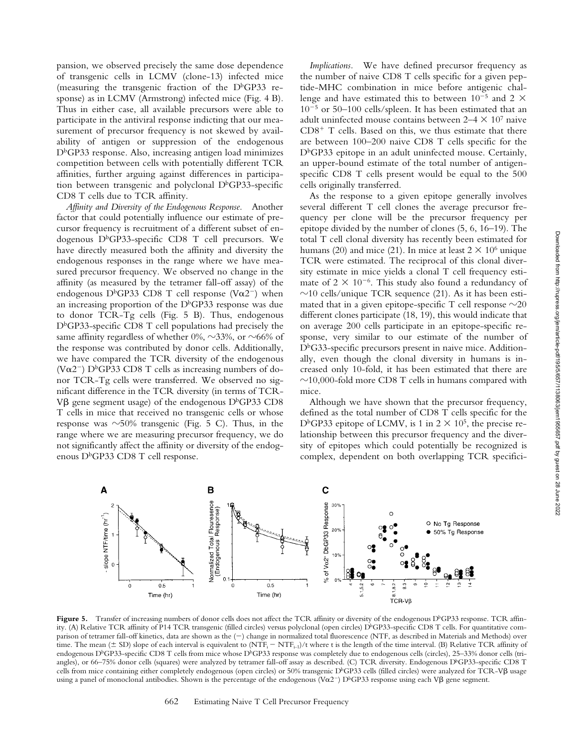pansion, we observed precisely the same dose dependence of transgenic cells in LCMV (clone-13) infected mice (measuring the transgenic fraction of the  $D<sup>b</sup>GP33$  response) as in LCMV (Armstrong) infected mice (Fig. 4 B). Thus in either case, all available precursors were able to participate in the antiviral response indicting that our measurement of precursor frequency is not skewed by availability of antigen or suppression of the endogenous  $D<sup>b</sup>GP33$  response. Also, increasing antigen load minimizes competition between cells with potentially different TCR affinities, further arguing against differences in participation between transgenic and polyclonal  $D<sup>b</sup>GP33$ -specific CD8 T cells due to TCR affinity.

*Affinity and Diversity of the Endogenous Response.* Another factor that could potentially influence our estimate of precursor frequency is recruitment of a different subset of endogenous D<sup>b</sup>GP33-specific CD8 T cell precursors. We have directly measured both the affinity and diversity the endogenous responses in the range where we have measured precursor frequency. We observed no change in the affinity (as measured by the tetramer fall-off assay) of the endogenous D<sup>b</sup>GP33 CD8 T cell response (V $\alpha$ 2<sup>-</sup>) when an increasing proportion of the  $D<sup>b</sup>GP33$  response was due to donor TCR-Tg cells (Fig. 5 B). Thus, endogenous  $D<sup>b</sup>GP33$ -specific CD8 T cell populations had precisely the same affinity regardless of whether  $0\%$ ,  $\sim$ 33%, or  $\sim$ 66% of the response was contributed by donor cells. Additionally, we have compared the TCR diversity of the endogenous (V $\alpha$ 2<sup>-</sup>) D<sup>b</sup>GP33 CD8 T cells as increasing numbers of donor TCR-Tg cells were transferred. We observed no significant difference in the TCR diversity (in terms of TCR- $V\beta$  gene segment usage) of the endogenous D<sup>b</sup>GP33 CD8 T cells in mice that received no transgenic cells or whose response was  $\sim$ 50% transgenic (Fig. 5 C). Thus, in the range where we are measuring precursor frequency, we do not significantly affect the affinity or diversity of the endogenous D<sup>b</sup>GP33 CD8 T cell response.

*Implications.* We have defined precursor frequency as the number of naive CD8 T cells specific for a given peptide-MHC combination in mice before antigenic challenge and have estimated this to between  $10^{-5}$  and 2  $\times$  $10^{-5}$  or 50–100 cells/spleen. It has been estimated that an adult uninfected mouse contains between 2–4  $\times$  10<sup>7</sup> naive  $CD8<sup>+</sup>$  T cells. Based on this, we thus estimate that there are between 100–200 naive CD8 T cells specific for the D<sup>b</sup>GP33 epitope in an adult uninfected mouse. Certainly, an upper-bound estimate of the total number of antigenspecific CD8 T cells present would be equal to the 500 cells originally transferred.

As the response to a given epitope generally involves several different T cell clones the average precursor frequency per clone will be the precursor frequency per epitope divided by the number of clones (5, 6, 16–19). The total T cell clonal diversity has recently been estimated for humans (20) and mice (21). In mice at least  $2 \times 10^6$  unique TCR were estimated. The reciprocal of this clonal diversity estimate in mice yields a clonal T cell frequency estimate of  $2 \times 10^{-6}$ . This study also found a redundancy of  $\sim$ 10 cells/unique TCR sequence (21). As it has been estimated that in a given epitope-specific T cell response  $\sim \!\! 20$ different clones participate (18, 19), this would indicate that on average 200 cells participate in an epitope-specific response, very similar to our estimate of the number of DbG33-specific precursors present in naive mice. Additionally, even though the clonal diversity in humans is increased only 10-fold, it has been estimated that there are  $\sim$ 10,000-fold more CD8 T cells in humans compared with mice.

Although we have shown that the precursor frequency, defined as the total number of CD8 T cells specific for the D<sup>b</sup>GP33 epitope of LCMV, is 1 in  $2 \times 10^5$ , the precise relationship between this precursor frequency and the diversity of epitopes which could potentially be recognized is complex, dependent on both overlapping TCR specifici-



Figure 5. Transfer of increasing numbers of donor cells does not affect the TCR affinity or diversity of the endogenous D<sup>b</sup>GP33 response. TCR affinity. (A) Relative TCR affinity of P14 TCR transgenic (filled circles) versus polyclonal (open circles) D<sup>b</sup>GP33-specific CD8 T cells. For quantitative comparison of tetramer fall-off kinetics, data are shown as the (-) change in normalized total fluorescence (NTF, as described in Materials and Methods) over time. The mean ( $\pm$  SD) slope of each interval is equivalent to (NTF<sub>i</sub>  $-$  NTF<sub>i-1</sub>)/t where t is the length of the time interval. (B) Relative TCR affinity of endogenous D<sup>b</sup>GP33-specific CD8 T cells from mice whose D<sup>b</sup>GP33 response was completely due to endogenous cells (circles), 25–33% donor cells (triangles), or 66–75% donor cells (squares) were analyzed by tetramer fall-off assay as described. (C) TCR diversity. Endogenous D<sup>b</sup>GP33-specific CD8 T cells from mice containing either completely endogenous (open circles) or 50% transgenic D<sup>b</sup>GP33 cells (filled circles) were analyzed for TCR-V $\beta$  usage using a panel of monoclonal antibodies. Shown is the percentage of the endogenous  $(\text{V}\alpha 2^-)$  D<sup>b</sup>GP33 response using each V $\beta$  gene segment.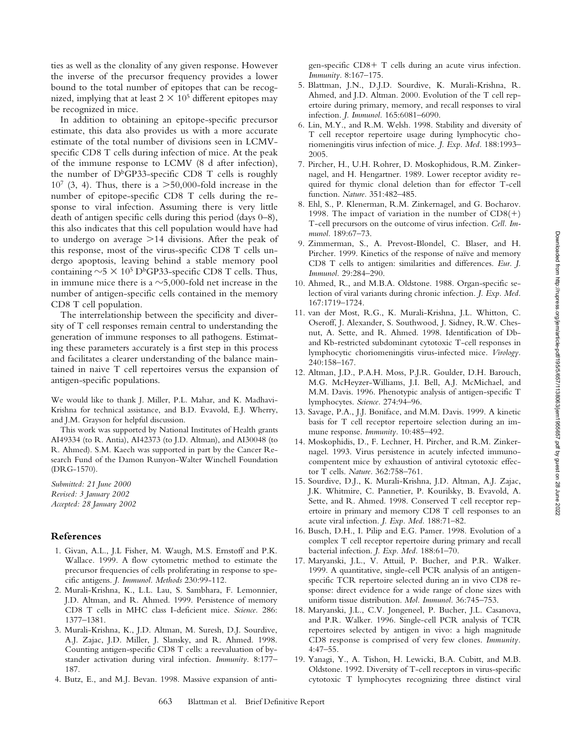ties as well as the clonality of any given response. However the inverse of the precursor frequency provides a lower bound to the total number of epitopes that can be recognized, implying that at least  $2 \times 10^5$  different epitopes may be recognized in mice.

In addition to obtaining an epitope-specific precursor estimate, this data also provides us with a more accurate estimate of the total number of divisions seen in LCMVspecific CD8 T cells during infection of mice. At the peak of the immune response to LCMV (8 d after infection), the number of  $D<sup>b</sup>GP33$ -specific CD8 T cells is roughly  $10^7$  (3, 4). Thus, there is a  $> 50,000$ -fold increase in the number of epitope-specific CD8 T cells during the response to viral infection. Assuming there is very little death of antigen specific cells during this period (days 0–8), this also indicates that this cell population would have had to undergo on average  $>14$  divisions. After the peak of this response, most of the virus-specific CD8 T cells undergo apoptosis, leaving behind a stable memory pool containing  $\sim$  5  $\times$  10<sup>5</sup> D<sup>b</sup>GP33-specific CD8 T cells. Thus, in immune mice there is a  $\sim$ 5,000-fold net increase in the number of antigen-specific cells contained in the memory CD8 T cell population.

The interrelationship between the specificity and diversity of T cell responses remain central to understanding the generation of immune responses to all pathogens. Estimating these parameters accurately is a first step in this process and facilitates a clearer understanding of the balance maintained in naive T cell repertoires versus the expansion of antigen-specific populations.

We would like to thank J. Miller, P.L. Mahar, and K. Madhavi-Krishna for technical assistance, and B.D. Evavold, E.J. Wherry, and J.M. Grayson for helpful discussion.

This work was supported by National Institutes of Health grants AI49334 (to R. Antia), AI42373 (to J.D. Altman), and AI30048 (to R. Ahmed). S.M. Kaech was supported in part by the Cancer Research Fund of the Damon Runyon-Walter Winchell Foundation (DRG-1570).

*Submitted: 21 June 2000 Revised: 3 January 2002 Accepted: 28 January 2002*

## **References**

- 1. Givan, A.L., J.L Fisher, M. Waugh, M.S. Ernstoff and P.K. Wallace. 1999. A flow cytometric method to estimate the precursor frequencies of cells proliferating in response to specific antigens. *J. Immunol. Methods* 230:99-112.
- 2. Murali-Krishna, K., L.L. Lau, S. Sambhara, F. Lemonnier, J.D. Altman, and R. Ahmed. 1999. Persistence of memory CD8 T cells in MHC class I-deficient mice. *Science.* 286: 1377–1381.
- 3. Murali-Krishna, K., J.D. Altman, M. Suresh, D.J. Sourdive, A.J. Zajac, J.D. Miller, J. Slansky, and R. Ahmed. 1998. Counting antigen-specific CD8 T cells: a reevaluation of bystander activation during viral infection. *Immunity.* 8:177– 187.
- 4. Butz, E., and M.J. Bevan. 1998. Massive expansion of anti-

gen-specific CD8 T cells during an acute virus infection. *Immunity.* 8:167–175.

- 5. Blattman, J.N., D.J.D. Sourdive, K. Murali-Krishna, R. Ahmed, and J.D. Altman. 2000. Evolution of the T cell repertoire during primary, memory, and recall responses to viral infection. *J. Immunol.* 165:6081–6090.
- 6. Lin, M.Y., and R.M. Welsh. 1998. Stability and diversity of T cell receptor repertoire usage during lymphocytic choriomeningitis virus infection of mice. *J. Exp. Med.* 188:1993– 2005.
- 7. Pircher, H., U.H. Rohrer, D. Moskophidous, R.M. Zinkernagel, and H. Hengartner. 1989. Lower receptor avidity required for thymic clonal deletion than for effector T-cell function. *Nature.* 351:482–485.
- 8. Ehl, S., P. Klenerman, R.M. Zinkernagel, and G. Bocharov. 1998. The impact of variation in the number of  $CD8(+)$ T-cell precursors on the outcome of virus infection. *Cell. Immunol.* 189:67–73.
- 9. Zimmerman, S., A. Prevost-Blondel, C. Blaser, and H. Pircher. 1999. Kinetics of the response of naïve and memory CD8 T cells to antigen: similarities and differences. *Eur. J. Immunol.* 29:284–290.
- 10. Ahmed, R., and M.B.A. Oldstone. 1988. Organ-specific selection of viral variants during chronic infection. *J. Exp. Med.* 167:1719–1724.
- 11. van der Most, R.G., K. Murali-Krishna, J.L. Whitton, C. Oseroff, J. Alexander, S. Southwood, J. Sidney, R.W. Chesnut, A. Sette, and R. Ahmed. 1998. Identification of Dband Kb-restricted subdominant cytotoxic T-cell responses in lymphocytic choriomeningitis virus-infected mice. *Virology.* 240:158–167.
- 12. Altman, J.D., P.A.H. Moss, P.J.R. Goulder, D.H. Barouch, M.G. McHeyzer-Williams, J.I. Bell, A.J. McMichael, and M.M. Davis. 1996. Phenotypic analysis of antigen-specific T lymphocytes. *Science.* 274:94–96.
- 13. Savage, P.A., J.J. Boniface, and M.M. Davis. 1999. A kinetic basis for T cell receptor repertoire selection during an immune response. *Immunity.* 10:485–492.
- 14. Moskophidis, D., F. Lechner, H. Pircher, and R.M. Zinkernagel. 1993. Virus persistence in acutely infected immunocompentent mice by exhaustion of antiviral cytotoxic effector T cells. *Nature.* 362:758–761.
- 15. Sourdive, D.J., K. Murali-Krishna, J.D. Altman, A.J. Zajac, J.K. Whitmire, C. Pannetier, P. Kourilsky, B. Evavold, A. Sette, and R. Ahmed. 1998. Conserved T cell receptor repertoire in primary and memory CD8 T cell responses to an acute viral infection. *J. Exp. Med.* 188:71–82.
- 16. Busch, D.H., I. Pilip and E.G. Pamer. 1998. Evolution of a complex T cell receptor repertoire during primary and recall bacterial infection. *J. Exp. Med.* 188:61–70.
- 17. Maryanski, J.L., V. Attuil, P. Bucher, and P.R. Walker. 1999. A quantitative, single-cell PCR analysis of an antigenspecific TCR repertoire selected during an in vivo CD8 response: direct evidence for a wide range of clone sizes with uniform tissue distribution. *Mol. Immunol.* 36:745–753.
- 18. Maryanski, J.L., C.V. Jongeneel, P. Bucher, J.L. Casanova, and P.R. Walker. 1996. Single-cell PCR analysis of TCR repertoires selected by antigen in vivo: a high magnitude CD8 response is comprised of very few clones. *Immunity.* 4:47–55.
- 19. Yanagi, Y., A. Tishon, H. Lewicki, B.A. Cubitt, and M.B. Oldstone. 1992. Diversity of T-cell receptors in virus-specific cytotoxic T lymphocytes recognizing three distinct viral